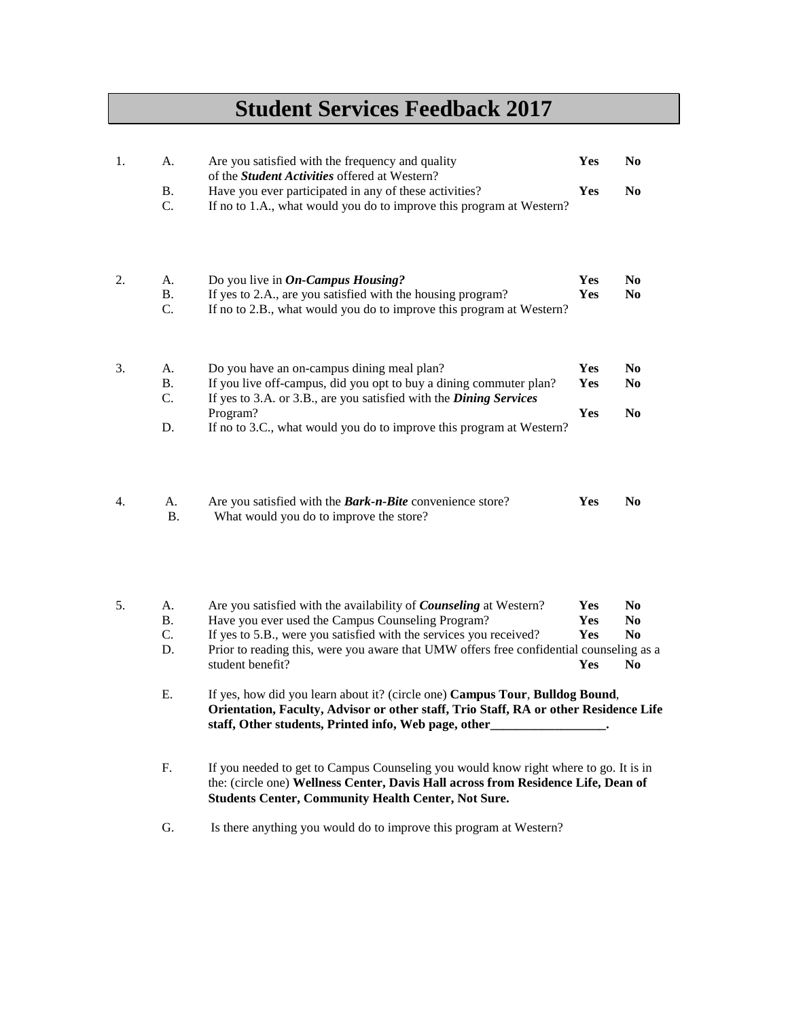## **Student Services Feedback 2017**

| 1. | A.              | Are you satisfied with the frequency and quality<br>of the Student Activities offered at Western?                                                                                                                                       | Yes | N <sub>0</sub> |
|----|-----------------|-----------------------------------------------------------------------------------------------------------------------------------------------------------------------------------------------------------------------------------------|-----|----------------|
|    | <b>B.</b>       | Have you ever participated in any of these activities?                                                                                                                                                                                  | Yes | N <sub>0</sub> |
|    | C.              | If no to 1.A., what would you do to improve this program at Western?                                                                                                                                                                    |     |                |
| 2. | A.              | Do you live in $On$ -Campus Housing?                                                                                                                                                                                                    | Yes | N <sub>0</sub> |
|    | <b>B.</b>       | If yes to 2.A., are you satisfied with the housing program?                                                                                                                                                                             | Yes | N <sub>0</sub> |
|    | C.              | If no to 2.B., what would you do to improve this program at Western?                                                                                                                                                                    |     |                |
| 3. | A.              | Do you have an on-campus dining meal plan?                                                                                                                                                                                              | Yes | N <sub>0</sub> |
|    | <b>B.</b><br>C. | If you live off-campus, did you opt to buy a dining commuter plan?<br>If yes to 3.A. or 3.B., are you satisfied with the <i>Dining Services</i>                                                                                         | Yes | N <sub>0</sub> |
|    |                 | Program?                                                                                                                                                                                                                                | Yes | N <sub>0</sub> |
|    | D.              | If no to 3.C., what would you do to improve this program at Western?                                                                                                                                                                    |     |                |
| 4. | A.<br><b>B.</b> | Are you satisfied with the <b>Bark-n-Bite</b> convenience store?<br>What would you do to improve the store?                                                                                                                             | Yes | N <sub>0</sub> |
|    |                 |                                                                                                                                                                                                                                         |     |                |
| 5. | A.              | Are you satisfied with the availability of Counseling at Western?                                                                                                                                                                       | Yes | N <sub>0</sub> |
|    | Β.              | Have you ever used the Campus Counseling Program?                                                                                                                                                                                       | Yes | N <sub>0</sub> |
|    | C.<br>D.        | If yes to 5.B., were you satisfied with the services you received?<br>Prior to reading this, were you aware that UMW offers free confidential counseling as a                                                                           | Yes | N <sub>0</sub> |
|    |                 | student benefit?                                                                                                                                                                                                                        | Yes | N <sub>0</sub> |
|    | Ε.              | If yes, how did you learn about it? (circle one) Campus Tour, Bulldog Bound,<br>Orientation, Faculty, Advisor or other staff, Trio Staff, RA or other Residence Life<br>staff, Other students, Printed info, Web page, other            |     |                |
|    | F.              | If you needed to get to Campus Counseling you would know right where to go. It is in<br>the: (circle one) Wellness Center, Davis Hall across from Residence Life, Dean of<br><b>Students Center, Community Health Center, Not Sure.</b> |     |                |
|    | G.              | Is there anything you would do to improve this program at Western?                                                                                                                                                                      |     |                |
|    |                 |                                                                                                                                                                                                                                         |     |                |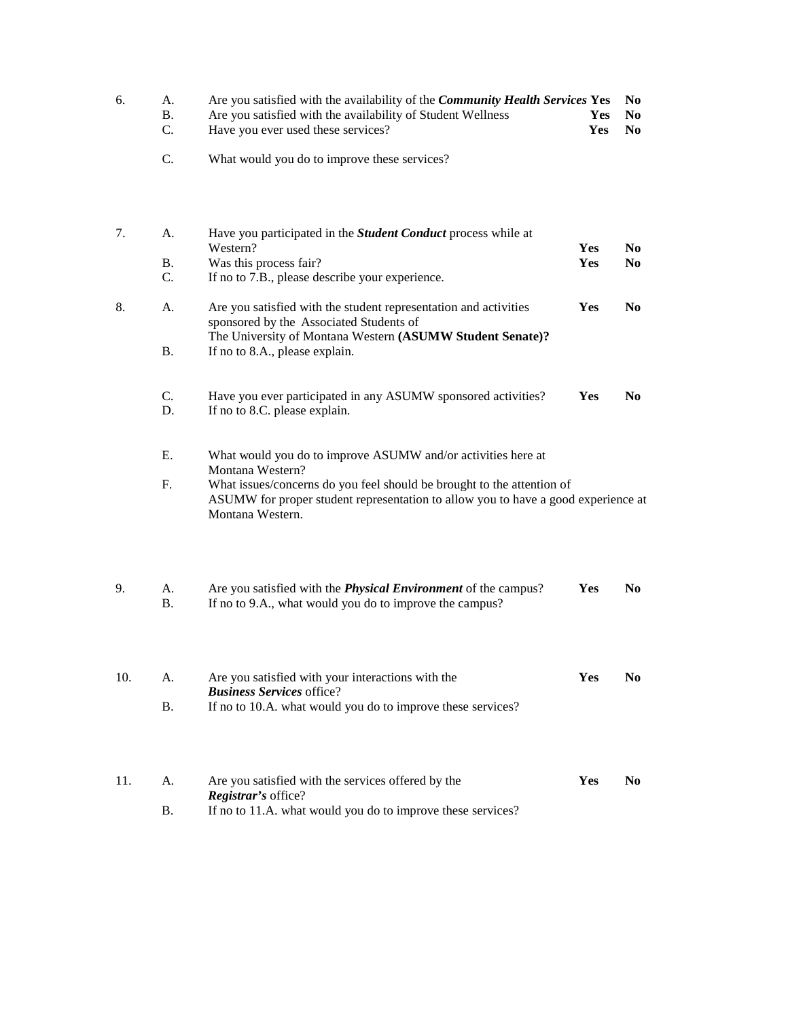| 6.  | A.<br>Β.<br>C.  | Are you satisfied with the availability of the Community Health Services Yes<br>Are you satisfied with the availability of Student Wellness<br>Have you ever used these services? | Yes<br>Yes | N <sub>0</sub><br>N <sub>0</sub><br>N <sub>0</sub> |
|-----|-----------------|-----------------------------------------------------------------------------------------------------------------------------------------------------------------------------------|------------|----------------------------------------------------|
|     | C.              | What would you do to improve these services?                                                                                                                                      |            |                                                    |
| 7.  | A.              | Have you participated in the <i>Student Conduct</i> process while at<br>Western?                                                                                                  | Yes        | N <sub>0</sub>                                     |
|     | Β.<br>C.        | Was this process fair?<br>If no to 7.B., please describe your experience.                                                                                                         | Yes        | N <sub>0</sub>                                     |
| 8.  | A.              | Are you satisfied with the student representation and activities<br>sponsored by the Associated Students of<br>The University of Montana Western (ASUMW Student Senate)?          | Yes        | N <sub>0</sub>                                     |
|     | Β.              | If no to 8.A., please explain.                                                                                                                                                    |            |                                                    |
|     | C.<br>D.        | Have you ever participated in any ASUMW sponsored activities?<br>If no to 8.C. please explain.                                                                                    | Yes        | N <sub>0</sub>                                     |
|     | Ε.              | What would you do to improve ASUMW and/or activities here at<br>Montana Western?                                                                                                  |            |                                                    |
|     | F.              | What issues/concerns do you feel should be brought to the attention of<br>ASUMW for proper student representation to allow you to have a good experience at<br>Montana Western.   |            |                                                    |
| 9.  | A.<br><b>B.</b> | Are you satisfied with the <i>Physical Environment</i> of the campus?<br>If no to 9.A., what would you do to improve the campus?                                                  | Yes        | N <sub>0</sub>                                     |
| 10. | А.              | Are you satisfied with your interactions with the                                                                                                                                 | Yes        | N <sub>0</sub>                                     |
|     | <b>B.</b>       | <b>Business Services office?</b><br>If no to 10.A. what would you do to improve these services?                                                                                   |            |                                                    |
| 11. | А.              | Are you satisfied with the services offered by the                                                                                                                                | Yes        | N <sub>0</sub>                                     |
|     | Β.              | Registrar's office?<br>If no to 11.A. what would you do to improve these services?                                                                                                |            |                                                    |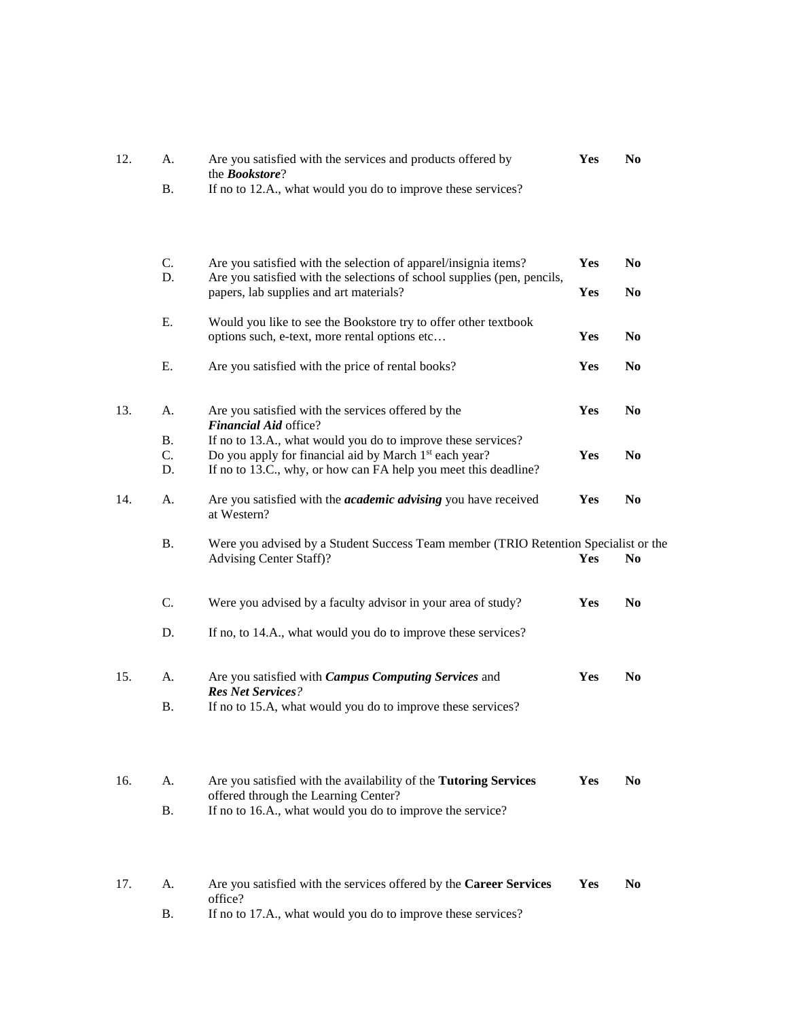| 12. | А.             | Are you satisfied with the services and products offered by<br>the <b>Bookstore</b> ?                                              | Yes | N <sub>0</sub> |
|-----|----------------|------------------------------------------------------------------------------------------------------------------------------------|-----|----------------|
|     | Β.             | If no to 12.A., what would you do to improve these services?                                                                       |     |                |
|     | $\mathbf{C}$ . | Are you satisfied with the selection of apparel/insignia items?                                                                    | Yes | No             |
|     | D.             | Are you satisfied with the selections of school supplies (pen, pencils,<br>papers, lab supplies and art materials?                 | Yes | N <sub>0</sub> |
|     | Ε.             | Would you like to see the Bookstore try to offer other textbook<br>options such, e-text, more rental options etc                   | Yes | N <sub>0</sub> |
|     | Е.             | Are you satisfied with the price of rental books?                                                                                  | Yes | N <sub>0</sub> |
| 13. | A.             | Are you satisfied with the services offered by the<br>Financial Aid office?                                                        | Yes | N <sub>0</sub> |
|     | В.<br>C.       | If no to 13.A., what would you do to improve these services?<br>Do you apply for financial aid by March 1 <sup>st</sup> each year? | Yes | N <sub>0</sub> |
|     | D.             | If no to 13.C., why, or how can FA help you meet this deadline?                                                                    |     |                |
| 14. | A.             | Are you satisfied with the <i>academic advising</i> you have received<br>at Western?                                               | Yes | N <sub>0</sub> |
|     | <b>B.</b>      | Were you advised by a Student Success Team member (TRIO Retention Specialist or the<br>Advising Center Staff)?                     | Yes | N <sub>0</sub> |
|     | C.             | Were you advised by a faculty advisor in your area of study?                                                                       | Yes | N <sub>0</sub> |
|     | D.             | If no, to 14.A., what would you do to improve these services?                                                                      |     |                |
| 15. | A.             | Are you satisfied with <i>Campus Computing Services</i> and                                                                        | Yes | N <sub>0</sub> |
|     | В.             | <b>Res Net Services?</b><br>If no to 15.A, what would you do to improve these services?                                            |     |                |
| 16. | А.             | Are you satisfied with the availability of the Tutoring Services                                                                   | Yes | N <sub>0</sub> |
|     | Β.             | offered through the Learning Center?<br>If no to 16.A., what would you do to improve the service?                                  |     |                |
| 17. | А.             | Are you satisfied with the services offered by the Career Services                                                                 | Yes | N <sub>0</sub> |
|     | В.             | office?<br>If no to 17.A., what would you do to improve these services?                                                            |     |                |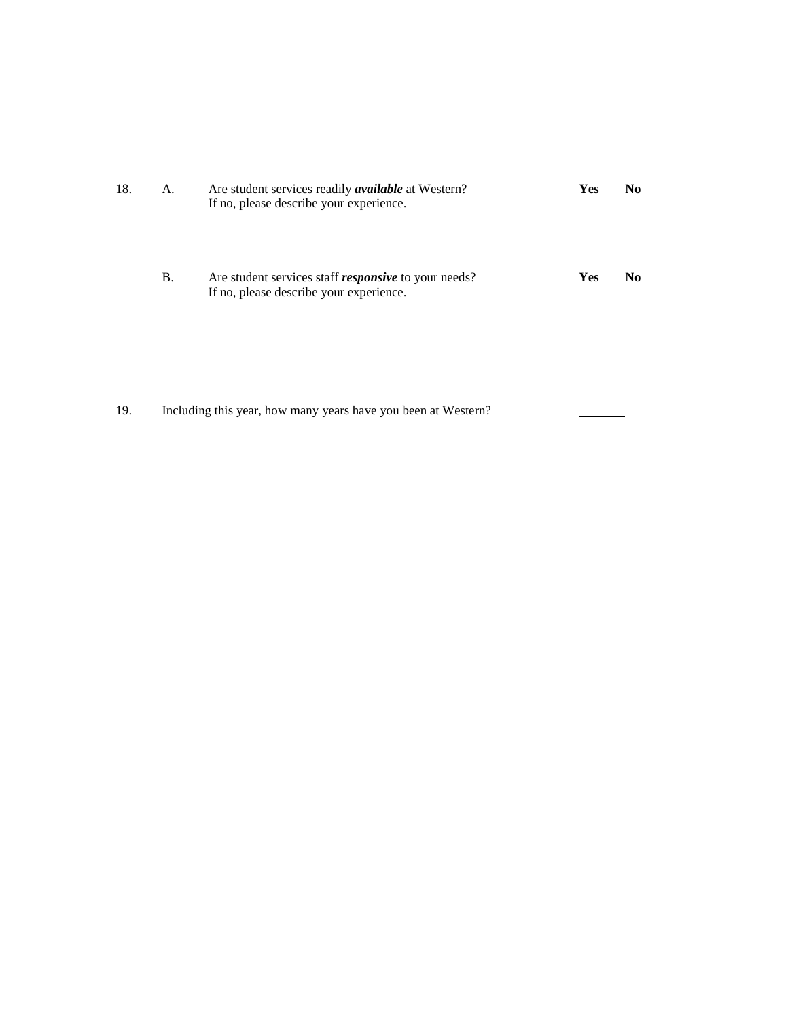| 18. | А. | Are student services readily <i>available</i> at Western?<br>If no, please describe your experience.   | Yes | No. |
|-----|----|--------------------------------------------------------------------------------------------------------|-----|-----|
|     | B. | Are student services staff <i>responsive</i> to your needs?<br>If no, please describe your experience. | Yes | No. |
|     |    |                                                                                                        |     |     |

19. Including this year, how many years have you been at Western?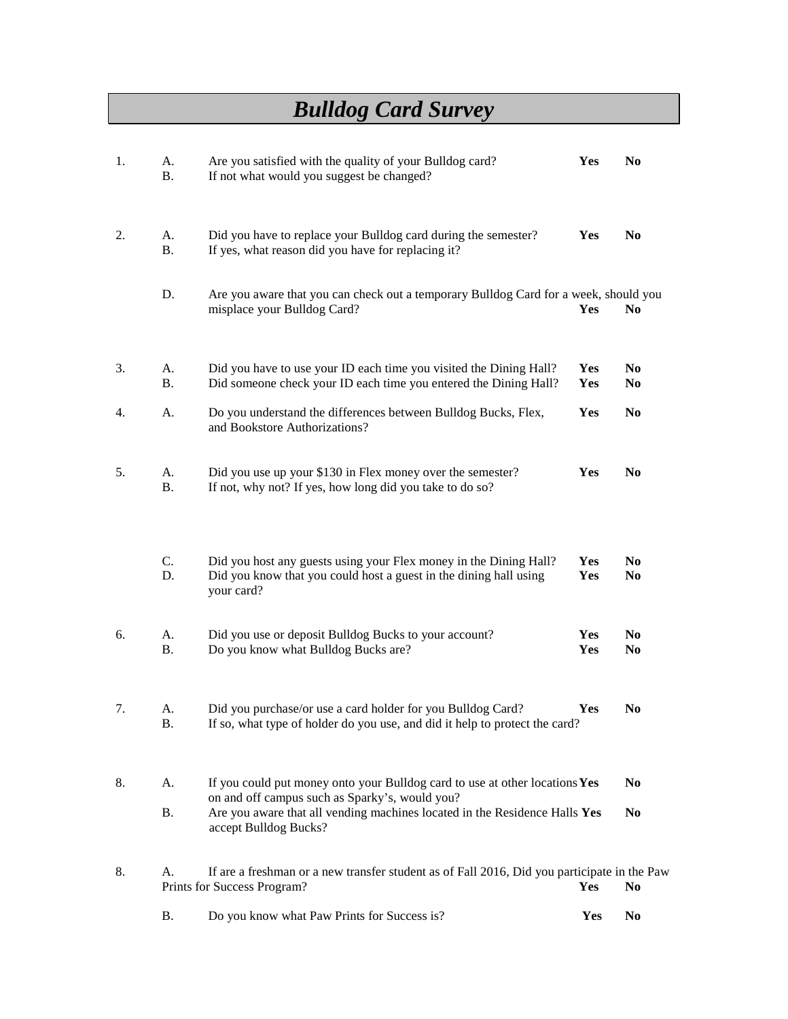## *Bulldog Card Survey*

| 1. | A.<br><b>B.</b> | Are you satisfied with the quality of your Bulldog card?<br>If not what would you suggest be changed?                                                                                                       | Yes        | N <sub>0</sub>                   |
|----|-----------------|-------------------------------------------------------------------------------------------------------------------------------------------------------------------------------------------------------------|------------|----------------------------------|
| 2. | A.<br><b>B.</b> | Did you have to replace your Bulldog card during the semester?<br>If yes, what reason did you have for replacing it?                                                                                        | Yes        | N <sub>0</sub>                   |
|    | D.              | Are you aware that you can check out a temporary Bulldog Card for a week, should you<br>misplace your Bulldog Card?                                                                                         | Yes        | N <sub>0</sub>                   |
| 3. | А.<br><b>B.</b> | Did you have to use your ID each time you visited the Dining Hall?<br>Did someone check your ID each time you entered the Dining Hall?                                                                      | Yes<br>Yes | N <sub>0</sub><br>N <sub>0</sub> |
| 4. | А.              | Do you understand the differences between Bulldog Bucks, Flex,<br>and Bookstore Authorizations?                                                                                                             | Yes        | N <sub>0</sub>                   |
| 5. | A.<br><b>B.</b> | Did you use up your \$130 in Flex money over the semester?<br>If not, why not? If yes, how long did you take to do so?                                                                                      | Yes        | N <sub>0</sub>                   |
|    | C.<br>D.        | Did you host any guests using your Flex money in the Dining Hall?<br>Did you know that you could host a guest in the dining hall using<br>your card?                                                        | Yes<br>Yes | N <sub>0</sub><br>N <sub>0</sub> |
| 6. | А.<br><b>B.</b> | Did you use or deposit Bulldog Bucks to your account?<br>Do you know what Bulldog Bucks are?                                                                                                                | Yes<br>Yes | N <sub>0</sub><br>N <sub>0</sub> |
| 7. | A.<br>Β.        | Did you purchase/or use a card holder for you Bulldog Card?<br>If so, what type of holder do you use, and did it help to protect the card?                                                                  | Yes        | N <sub>0</sub>                   |
| 8. | A.<br><b>B.</b> | If you could put money onto your Bulldog card to use at other locations Yes<br>on and off campus such as Sparky's, would you?<br>Are you aware that all vending machines located in the Residence Halls Yes |            | N <sub>0</sub><br>N <sub>0</sub> |
|    |                 | accept Bulldog Bucks?                                                                                                                                                                                       |            |                                  |
| 8. | A.              | If are a freshman or a new transfer student as of Fall 2016, Did you participate in the Paw<br>Prints for Success Program?                                                                                  | Yes        | No.                              |
|    | <b>B.</b>       | Do you know what Paw Prints for Success is?                                                                                                                                                                 | Yes        | N <sub>0</sub>                   |